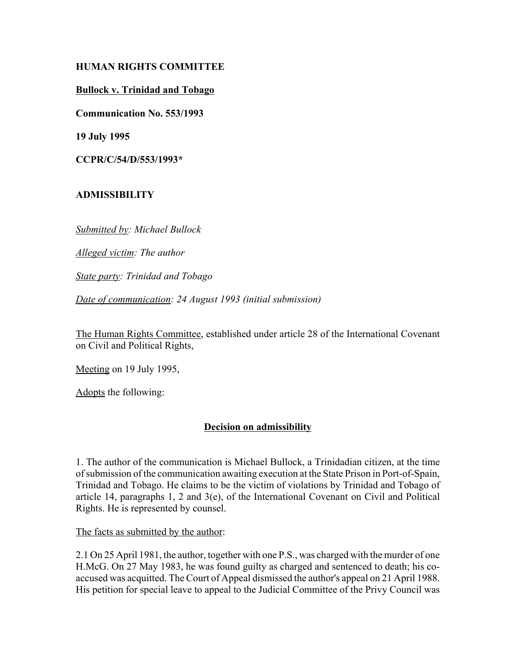## **HUMAN RIGHTS COMMITTEE**

## **Bullock v. Trinidad and Tobago**

**Communication No. 553/1993**

**19 July 1995**

**CCPR/C/54/D/553/1993\***

# **ADMISSIBILITY**

*Submitted by: Michael Bullock*

*Alleged victim: The author*

*State party: Trinidad and Tobago*

*Date of communication: 24 August 1993 (initial submission)*

The Human Rights Committee, established under article 28 of the International Covenant on Civil and Political Rights,

Meeting on 19 July 1995,

Adopts the following:

# **Decision on admissibility**

1. The author of the communication is Michael Bullock, a Trinidadian citizen, at the time of submission of the communication awaiting execution at the State Prison in Port-of-Spain, Trinidad and Tobago. He claims to be the victim of violations by Trinidad and Tobago of article 14, paragraphs 1, 2 and 3(e), of the International Covenant on Civil and Political Rights. He is represented by counsel.

The facts as submitted by the author:

2.1 On 25 April 1981, the author, together with one P.S., was charged with the murder of one H.McG. On 27 May 1983, he was found guilty as charged and sentenced to death; his coaccused was acquitted. The Court of Appeal dismissed the author's appeal on 21 April 1988. His petition for special leave to appeal to the Judicial Committee of the Privy Council was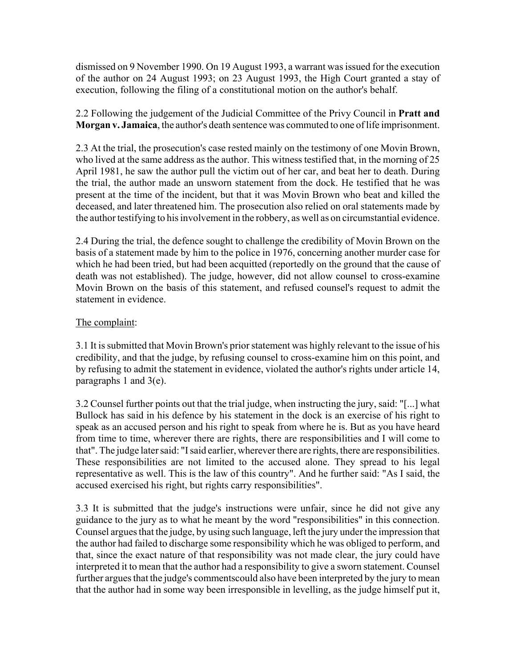dismissed on 9 November 1990. On 19 August 1993, a warrant was issued for the execution of the author on 24 August 1993; on 23 August 1993, the High Court granted a stay of execution, following the filing of a constitutional motion on the author's behalf.

2.2 Following the judgement of the Judicial Committee of the Privy Council in **Pratt and Morgan v. Jamaica**, the author's death sentence was commuted to one of life imprisonment.

2.3 At the trial, the prosecution's case rested mainly on the testimony of one Movin Brown, who lived at the same address as the author. This witness testified that, in the morning of 25 April 1981, he saw the author pull the victim out of her car, and beat her to death. During the trial, the author made an unsworn statement from the dock. He testified that he was present at the time of the incident, but that it was Movin Brown who beat and killed the deceased, and later threatened him. The prosecution also relied on oral statements made by the author testifying to his involvement in the robbery, as well as on circumstantial evidence.

2.4 During the trial, the defence sought to challenge the credibility of Movin Brown on the basis of a statement made by him to the police in 1976, concerning another murder case for which he had been tried, but had been acquitted (reportedly on the ground that the cause of death was not established). The judge, however, did not allow counsel to cross-examine Movin Brown on the basis of this statement, and refused counsel's request to admit the statement in evidence.

## The complaint:

3.1 It is submitted that Movin Brown's prior statement was highly relevant to the issue of his credibility, and that the judge, by refusing counsel to cross-examine him on this point, and by refusing to admit the statement in evidence, violated the author's rights under article 14, paragraphs 1 and 3(e).

3.2 Counsel further points out that the trial judge, when instructing the jury, said: "[...] what Bullock has said in his defence by his statement in the dock is an exercise of his right to speak as an accused person and his right to speak from where he is. But as you have heard from time to time, wherever there are rights, there are responsibilities and I will come to that". The judge later said: "I said earlier, wherever there are rights, there are responsibilities. These responsibilities are not limited to the accused alone. They spread to his legal representative as well. This is the law of this country". And he further said: "As I said, the accused exercised his right, but rights carry responsibilities".

3.3 It is submitted that the judge's instructions were unfair, since he did not give any guidance to the jury as to what he meant by the word "responsibilities" in this connection. Counsel argues that the judge, by using such language, left the jury under the impression that the author had failed to discharge some responsibility which he was obliged to perform, and that, since the exact nature of that responsibility was not made clear, the jury could have interpreted it to mean that the author had a responsibility to give a sworn statement. Counsel further argues that the judge's commentscould also have been interpreted by the jury to mean that the author had in some way been irresponsible in levelling, as the judge himself put it,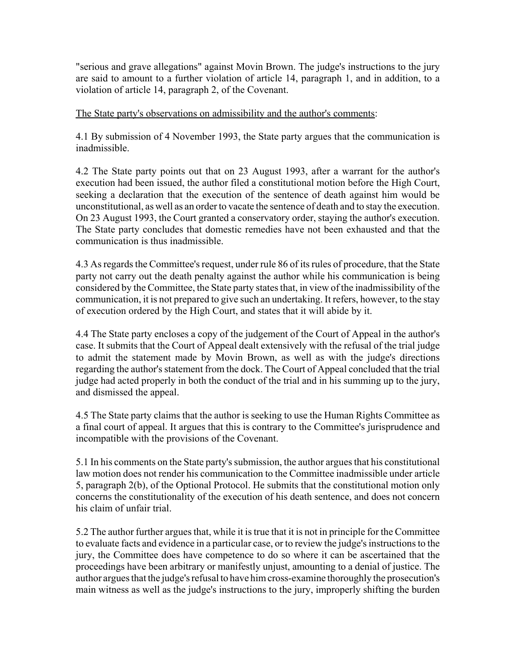"serious and grave allegations" against Movin Brown. The judge's instructions to the jury are said to amount to a further violation of article 14, paragraph 1, and in addition, to a violation of article 14, paragraph 2, of the Covenant.

The State party's observations on admissibility and the author's comments:

4.1 By submission of 4 November 1993, the State party argues that the communication is inadmissible.

4.2 The State party points out that on 23 August 1993, after a warrant for the author's execution had been issued, the author filed a constitutional motion before the High Court, seeking a declaration that the execution of the sentence of death against him would be unconstitutional, as well as an order to vacate the sentence of death and to stay the execution. On 23 August 1993, the Court granted a conservatory order, staying the author's execution. The State party concludes that domestic remedies have not been exhausted and that the communication is thus inadmissible.

4.3 As regards the Committee's request, under rule 86 of its rules of procedure, that the State party not carry out the death penalty against the author while his communication is being considered by the Committee, the State party states that, in view of the inadmissibility of the communication, it is not prepared to give such an undertaking. It refers, however, to the stay of execution ordered by the High Court, and states that it will abide by it.

4.4 The State party encloses a copy of the judgement of the Court of Appeal in the author's case. It submits that the Court of Appeal dealt extensively with the refusal of the trial judge to admit the statement made by Movin Brown, as well as with the judge's directions regarding the author's statement from the dock. The Court of Appeal concluded that the trial judge had acted properly in both the conduct of the trial and in his summing up to the jury, and dismissed the appeal.

4.5 The State party claims that the author is seeking to use the Human Rights Committee as a final court of appeal. It argues that this is contrary to the Committee's jurisprudence and incompatible with the provisions of the Covenant.

5.1 In his comments on the State party's submission, the author argues that his constitutional law motion does not render his communication to the Committee inadmissible under article 5, paragraph 2(b), of the Optional Protocol. He submits that the constitutional motion only concerns the constitutionality of the execution of his death sentence, and does not concern his claim of unfair trial.

5.2 The author further argues that, while it is true that it is not in principle for the Committee to evaluate facts and evidence in a particular case, or to review the judge's instructions to the jury, the Committee does have competence to do so where it can be ascertained that the proceedings have been arbitrary or manifestly unjust, amounting to a denial of justice. The author argues that the judge's refusal to have him cross-examine thoroughly the prosecution's main witness as well as the judge's instructions to the jury, improperly shifting the burden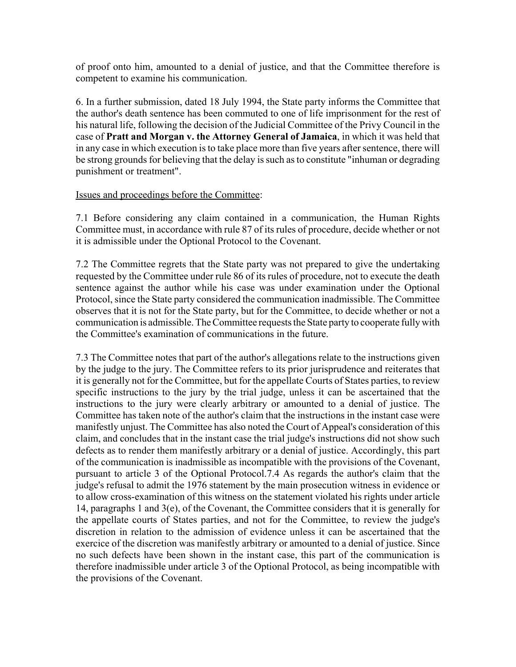of proof onto him, amounted to a denial of justice, and that the Committee therefore is competent to examine his communication.

6. In a further submission, dated 18 July 1994, the State party informs the Committee that the author's death sentence has been commuted to one of life imprisonment for the rest of his natural life, following the decision of the Judicial Committee of the Privy Council in the case of **Pratt and Morgan v. the Attorney General of Jamaica**, in which it was held that in any case in which execution is to take place more than five years after sentence, there will be strong grounds for believing that the delay is such as to constitute "inhuman or degrading punishment or treatment".

#### Issues and proceedings before the Committee:

7.1 Before considering any claim contained in a communication, the Human Rights Committee must, in accordance with rule 87 of its rules of procedure, decide whether or not it is admissible under the Optional Protocol to the Covenant.

7.2 The Committee regrets that the State party was not prepared to give the undertaking requested by the Committee under rule 86 of its rules of procedure, not to execute the death sentence against the author while his case was under examination under the Optional Protocol, since the State party considered the communication inadmissible. The Committee observes that it is not for the State party, but for the Committee, to decide whether or not a communication is admissible. The Committee requests the State party to cooperate fully with the Committee's examination of communications in the future.

7.3 The Committee notes that part of the author's allegations relate to the instructions given by the judge to the jury. The Committee refers to its prior jurisprudence and reiterates that it is generally not for the Committee, but for the appellate Courts of States parties, to review specific instructions to the jury by the trial judge, unless it can be ascertained that the instructions to the jury were clearly arbitrary or amounted to a denial of justice. The Committee has taken note of the author's claim that the instructions in the instant case were manifestly unjust. The Committee has also noted the Court of Appeal's consideration of this claim, and concludes that in the instant case the trial judge's instructions did not show such defects as to render them manifestly arbitrary or a denial of justice. Accordingly, this part of the communication is inadmissible as incompatible with the provisions of the Covenant, pursuant to article 3 of the Optional Protocol.7.4 As regards the author's claim that the judge's refusal to admit the 1976 statement by the main prosecution witness in evidence or to allow cross-examination of this witness on the statement violated his rights under article 14, paragraphs 1 and 3(e), of the Covenant, the Committee considers that it is generally for the appellate courts of States parties, and not for the Committee, to review the judge's discretion in relation to the admission of evidence unless it can be ascertained that the exercice of the discretion was manifestly arbitrary or amounted to a denial of justice. Since no such defects have been shown in the instant case, this part of the communication is therefore inadmissible under article 3 of the Optional Protocol, as being incompatible with the provisions of the Covenant.